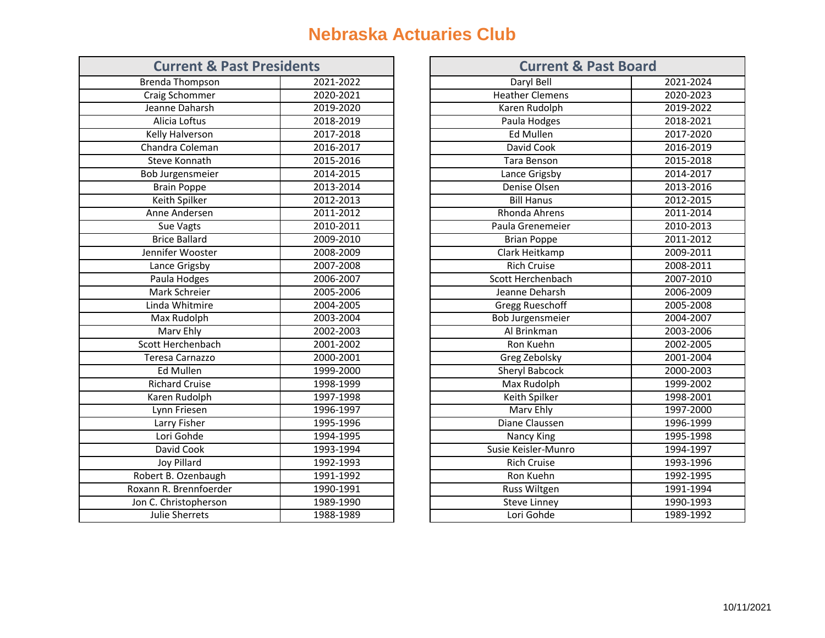## **Nebraska Actuaries Club**

| <b>Current &amp; Past Presidents</b> |           | <b>Current &amp; Past Board</b> |
|--------------------------------------|-----------|---------------------------------|
| Brenda Thompson                      | 2021-2022 | Daryl Bell                      |
| Craig Schommer                       | 2020-2021 | <b>Heather Clemens</b>          |
| Jeanne Daharsh                       | 2019-2020 | Karen Rudolph                   |
| Alicia Loftus                        | 2018-2019 | Paula Hodges                    |
| Kelly Halverson                      | 2017-2018 | <b>Ed Mullen</b>                |
| Chandra Coleman                      | 2016-2017 | David Cook                      |
| <b>Steve Konnath</b>                 | 2015-2016 | Tara Benson                     |
| Bob Jurgensmeier                     | 2014-2015 | Lance Grigsby                   |
| <b>Brain Poppe</b>                   | 2013-2014 | Denise Olsen                    |
| Keith Spilker                        | 2012-2013 | <b>Bill Hanus</b>               |
| Anne Andersen                        | 2011-2012 | Rhonda Ahrens                   |
| Sue Vagts                            | 2010-2011 | Paula Grenemeier                |
| <b>Brice Ballard</b>                 | 2009-2010 | <b>Brian Poppe</b>              |
| Jennifer Wooster                     | 2008-2009 | Clark Heitkamp                  |
| Lance Grigsby                        | 2007-2008 | <b>Rich Cruise</b>              |
| Paula Hodges                         | 2006-2007 | Scott Herchenbach               |
| Mark Schreier                        | 2005-2006 | Jeanne Deharsh                  |
| Linda Whitmire                       | 2004-2005 | <b>Gregg Rueschoff</b>          |
| <b>Max Rudolph</b>                   | 2003-2004 | <b>Bob Jurgensmeier</b>         |
| Marv Ehly                            | 2002-2003 | Al Brinkman                     |
| Scott Herchenbach                    | 2001-2002 | Ron Kuehn                       |
| Teresa Carnazzo                      | 2000-2001 | Greg Zebolsky                   |
| <b>Ed Mullen</b>                     | 1999-2000 | Sheryl Babcock                  |
| <b>Richard Cruise</b>                | 1998-1999 | Max Rudolph                     |
| Karen Rudolph                        | 1997-1998 | Keith Spilker                   |
| Lynn Friesen                         | 1996-1997 | Marv Ehly                       |
| Larry Fisher                         | 1995-1996 | Diane Claussen                  |
| Lori Gohde                           | 1994-1995 | Nancy King                      |
| David Cook                           | 1993-1994 | Susie Keisler-Munro             |
| <b>Joy Pillard</b>                   | 1992-1993 | <b>Rich Cruise</b>              |
| Robert B. Ozenbaugh                  | 1991-1992 | Ron Kuehn                       |
| Roxann R. Brennfoerder               | 1990-1991 | Russ Wiltgen                    |
| Jon C. Christopherson                | 1989-1990 | <b>Steve Linney</b>             |
| Julie Sherrets                       | 1988-1989 | Lori Gohde                      |

| <b>Current &amp; Past Presidents</b> |               |                        | <b>Current &amp; Past Board</b> |  |  |
|--------------------------------------|---------------|------------------------|---------------------------------|--|--|
| <b>Brenda Thompson</b>               | 2021-2022     | Daryl Bell             | 2021-2024                       |  |  |
| Craig Schommer                       | 2020-2021     | <b>Heather Clemens</b> | 2020-2023                       |  |  |
| Jeanne Daharsh                       | 2019-2020     | Karen Rudolph          | 2019-2022                       |  |  |
| Alicia Loftus                        | 2018-2019     | Paula Hodges           | 2018-2021                       |  |  |
| Kelly Halverson                      | $2017 - 2018$ | Ed Mullen              | 2017-2020                       |  |  |
| Chandra Coleman                      | 2016-2017     | David Cook             | 2016-2019                       |  |  |
| <b>Steve Konnath</b>                 | 2015-2016     | <b>Tara Benson</b>     | 2015-2018                       |  |  |
| <b>Bob Jurgensmeier</b>              | 2014-2015     | Lance Grigsby          | 2014-2017                       |  |  |
| <b>Brain Poppe</b>                   | 2013-2014     | Denise Olsen           | 2013-2016                       |  |  |
| Keith Spilker                        | 2012-2013     | <b>Bill Hanus</b>      | 2012-2015                       |  |  |
| Anne Andersen                        | 2011-2012     | Rhonda Ahrens          | 2011-2014                       |  |  |
| Sue Vagts                            | 2010-2011     | Paula Grenemeier       | 2010-2013                       |  |  |
| <b>Brice Ballard</b>                 | 2009-2010     | <b>Brian Poppe</b>     | 2011-2012                       |  |  |
| Jennifer Wooster                     | 2008-2009     | Clark Heitkamp         | 2009-2011                       |  |  |
| Lance Grigsby                        | 2007-2008     | <b>Rich Cruise</b>     | 2008-2011                       |  |  |
| Paula Hodges                         | 2006-2007     | Scott Herchenbach      | 2007-2010                       |  |  |
| Mark Schreier                        | 2005-2006     | Jeanne Deharsh         | 2006-2009                       |  |  |
| Linda Whitmire                       | 2004-2005     | <b>Gregg Rueschoff</b> | 2005-2008                       |  |  |
| Max Rudolph                          | 2003-2004     | Bob Jurgensmeier       | 2004-2007                       |  |  |
| Marv Ehly                            | 2002-2003     | Al Brinkman            | 2003-2006                       |  |  |
| Scott Herchenbach                    | 2001-2002     | Ron Kuehn              | 2002-2005                       |  |  |
| Teresa Carnazzo                      | 2000-2001     | Greg Zebolsky          | 2001-2004                       |  |  |
| Ed Mullen                            | 1999-2000     | Sheryl Babcock         | 2000-2003                       |  |  |
| <b>Richard Cruise</b>                | 1998-1999     | Max Rudolph            | 1999-2002                       |  |  |
| Karen Rudolph                        | 1997-1998     | Keith Spilker          | 1998-2001                       |  |  |
| Lynn Friesen                         | 1996-1997     | Marv Ehly              | 1997-2000                       |  |  |
| Larry Fisher                         | 1995-1996     | Diane Claussen         | 1996-1999                       |  |  |
| Lori Gohde                           | 1994-1995     | Nancy King             | 1995-1998                       |  |  |
| David Cook                           | 1993-1994     | Susie Keisler-Munro    | 1994-1997                       |  |  |
| Joy Pillard                          | 1992-1993     | <b>Rich Cruise</b>     | 1993-1996                       |  |  |
| Robert B. Ozenbaugh                  | 1991-1992     | Ron Kuehn              | 1992-1995                       |  |  |
| Roxann R. Brennfoerder               | 1990-1991     | Russ Wiltgen           | 1991-1994                       |  |  |
| Jon C. Christopherson                | 1989-1990     | <b>Steve Linney</b>    | 1990-1993                       |  |  |
| Julie Sherrets                       | 1988-1989     | Lori Gohde             | 1989-1992                       |  |  |